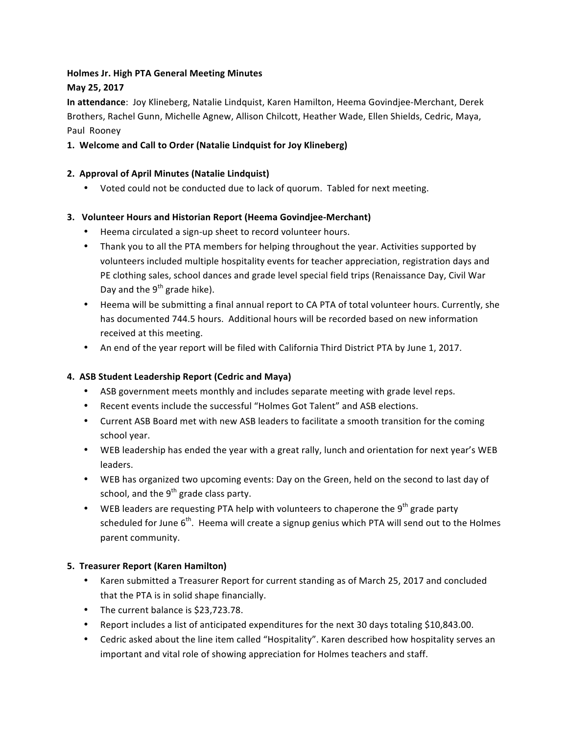# **Holmes Jr. High PTA General Meeting Minutes**

## **May 25, 2017**

**In attendance**: Joy Klineberg, Natalie Lindquist, Karen Hamilton, Heema Govindjee-Merchant, Derek Brothers, Rachel Gunn, Michelle Agnew, Allison Chilcott, Heather Wade, Ellen Shields, Cedric, Maya, Paul Rooney

### 1. Welcome and Call to Order (Natalie Lindquist for Joy Klineberg)

### **2. Approval of April Minutes (Natalie Lindquist)**

• Voted could not be conducted due to lack of quorum. Tabled for next meeting.

### **3. Volunteer Hours and Historian Report (Heema Govindjee-Merchant)**

- Heema circulated a sign-up sheet to record volunteer hours.
- Thank you to all the PTA members for helping throughout the year. Activities supported by volunteers included multiple hospitality events for teacher appreciation, registration days and PE clothing sales, school dances and grade level special field trips (Renaissance Day, Civil War Day and the  $9^{th}$  grade hike).
- Heema will be submitting a final annual report to CA PTA of total volunteer hours. Currently, she has documented 744.5 hours. Additional hours will be recorded based on new information received at this meeting.
- An end of the year report will be filed with California Third District PTA by June 1, 2017.

#### **4. ASB Student Leadership Report (Cedric and Maya)**

- ASB government meets monthly and includes separate meeting with grade level reps.
- Recent events include the successful "Holmes Got Talent" and ASB elections.
- Current ASB Board met with new ASB leaders to facilitate a smooth transition for the coming school year.
- WEB leadership has ended the year with a great rally, lunch and orientation for next year's WEB leaders.
- WEB has organized two upcoming events: Day on the Green, held on the second to last day of school, and the  $9<sup>th</sup>$  grade class party.
- WEB leaders are requesting PTA help with volunteers to chaperone the 9<sup>th</sup> grade party scheduled for June  $6<sup>th</sup>$ . Heema will create a signup genius which PTA will send out to the Holmes parent community.

#### **5. Treasurer Report (Karen Hamilton)**

- Karen submitted a Treasurer Report for current standing as of March 25, 2017 and concluded that the PTA is in solid shape financially.
- The current balance is \$23,723.78.
- Report includes a list of anticipated expenditures for the next 30 days totaling \$10,843.00.
- Cedric asked about the line item called "Hospitality". Karen described how hospitality serves an important and vital role of showing appreciation for Holmes teachers and staff.